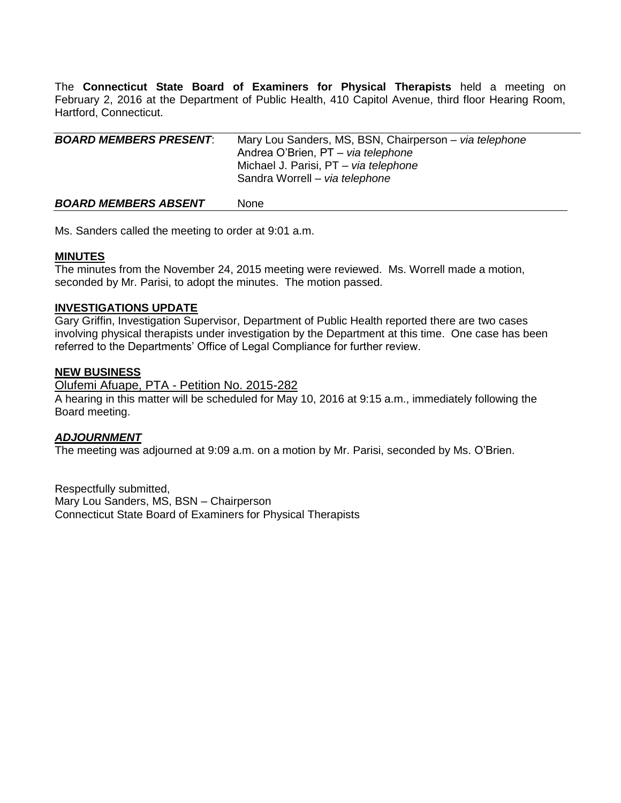The **Connecticut State Board of Examiners for Physical Therapists** held a meeting on February 2, 2016 at the Department of Public Health, 410 Capitol Avenue, third floor Hearing Room, Hartford, Connecticut.

| <b>BOARD MEMBERS PRESENT:</b> | Mary Lou Sanders, MS, BSN, Chairperson - via telephone<br>Andrea O'Brien, PT - via telephone<br>Michael J. Parisi, PT - via telephone<br>Sandra Worrell - via telephone |
|-------------------------------|-------------------------------------------------------------------------------------------------------------------------------------------------------------------------|
| <b>BOARD MEMBERS ABSENT</b>   | None                                                                                                                                                                    |

Ms. Sanders called the meeting to order at 9:01 a.m.

## **MINUTES**

The minutes from the November 24, 2015 meeting were reviewed. Ms. Worrell made a motion, seconded by Mr. Parisi, to adopt the minutes. The motion passed.

## **INVESTIGATIONS UPDATE**

Gary Griffin, Investigation Supervisor, Department of Public Health reported there are two cases involving physical therapists under investigation by the Department at this time. One case has been referred to the Departments' Office of Legal Compliance for further review.

## **NEW BUSINESS**

Olufemi Afuape, PTA - Petition No. 2015-282

A hearing in this matter will be scheduled for May 10, 2016 at 9:15 a.m., immediately following the Board meeting.

### *ADJOURNMENT*

The meeting was adjourned at 9:09 a.m. on a motion by Mr. Parisi, seconded by Ms. O'Brien.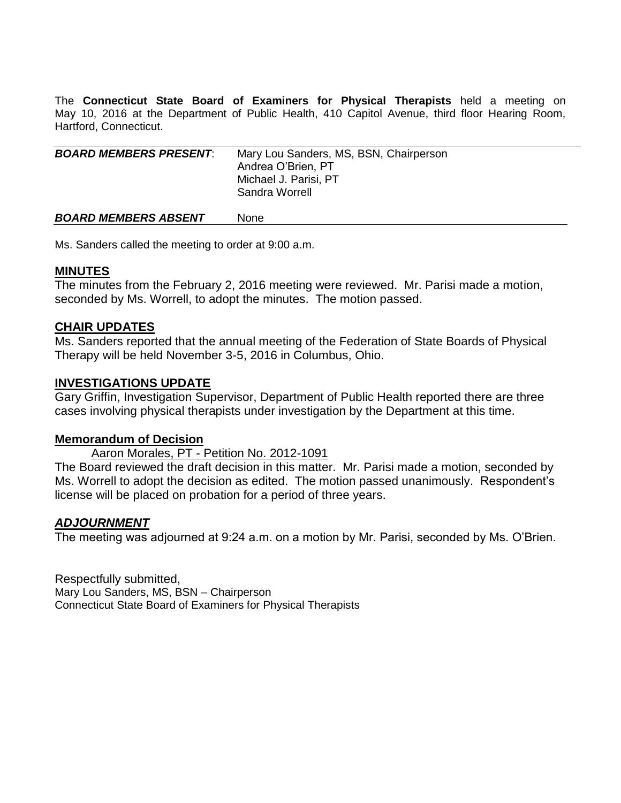The **Connecticut State Board of Examiners for Physical Therapists** held a meeting on May 10, 2016 at the Department of Public Health, 410 Capitol Avenue, third floor Hearing Room, Hartford, Connecticut.

| <b>BOARD MEMBERS PRESENT:</b> | Mary Lou Sanders, MS, BSN, Chairperson<br>Andrea O'Brien, PT<br>Michael J. Parisi, PT<br>Sandra Worrell |
|-------------------------------|---------------------------------------------------------------------------------------------------------|
| <b>BOARD MEMBERS ABSENT</b>   | None                                                                                                    |

Ms. Sanders called the meeting to order at 9:00 a.m.

# **MINUTES**

The minutes from the February 2, 2016 meeting were reviewed. Mr. Parisi made a motion, seconded by Ms. Worrell, to adopt the minutes. The motion passed.

# **CHAIR UPDATES**

Ms. Sanders reported that the annual meeting of the Federation of State Boards of Physical Therapy will be held November 3-5, 2016 in Columbus, Ohio.

# **INVESTIGATIONS UPDATE**

Gary Griffin, Investigation Supervisor, Department of Public Health reported there are three cases involving physical therapists under investigation by the Department at this time.

# **Memorandum of Decision**

Aaron Morales, PT - Petition No. 2012-1091

The Board reviewed the draft decision in this matter. Mr. Parisi made a motion, seconded by Ms. Worrell to adopt the decision as edited. The motion passed unanimously. Respondent's license will be placed on probation for a period of three years.

# *ADJOURNMENT*

The meeting was adjourned at 9:24 a.m. on a motion by Mr. Parisi, seconded by Ms. O'Brien.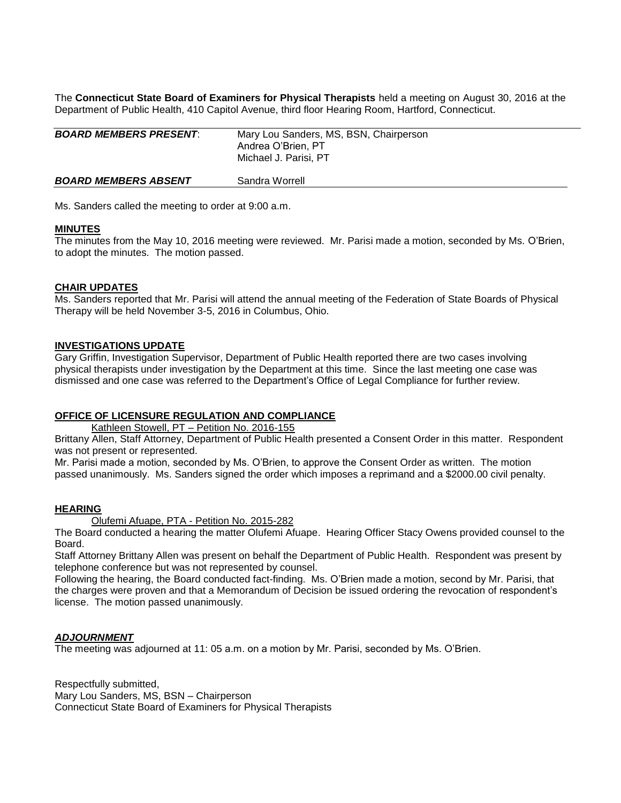The **Connecticut State Board of Examiners for Physical Therapists** held a meeting on August 30, 2016 at the Department of Public Health, 410 Capitol Avenue, third floor Hearing Room, Hartford, Connecticut.

| <b>BOARD MEMBERS PRESENT:</b> | Mary Lou Sanders, MS, BSN, Chairperson<br>Andrea O'Brien, PT<br>Michael J. Parisi, PT |
|-------------------------------|---------------------------------------------------------------------------------------|
| <b>BOARD MEMBERS ABSENT</b>   | Sandra Worrell                                                                        |

Ms. Sanders called the meeting to order at 9:00 a.m.

### **MINUTES**

The minutes from the May 10, 2016 meeting were reviewed. Mr. Parisi made a motion, seconded by Ms. O'Brien, to adopt the minutes. The motion passed.

## **CHAIR UPDATES**

Ms. Sanders reported that Mr. Parisi will attend the annual meeting of the Federation of State Boards of Physical Therapy will be held November 3-5, 2016 in Columbus, Ohio.

## **INVESTIGATIONS UPDATE**

Gary Griffin, Investigation Supervisor, Department of Public Health reported there are two cases involving physical therapists under investigation by the Department at this time. Since the last meeting one case was dismissed and one case was referred to the Department's Office of Legal Compliance for further review.

### **OFFICE OF LICENSURE REGULATION AND COMPLIANCE**

Kathleen Stowell, PT – Petition No. 2016-155

Brittany Allen, Staff Attorney, Department of Public Health presented a Consent Order in this matter. Respondent was not present or represented.

Mr. Parisi made a motion, seconded by Ms. O'Brien, to approve the Consent Order as written. The motion passed unanimously. Ms. Sanders signed the order which imposes a reprimand and a \$2000.00 civil penalty.

### **HEARING**

Olufemi Afuape, PTA - Petition No. 2015-282

The Board conducted a hearing the matter Olufemi Afuape. Hearing Officer Stacy Owens provided counsel to the Board.

Staff Attorney Brittany Allen was present on behalf the Department of Public Health. Respondent was present by telephone conference but was not represented by counsel.

Following the hearing, the Board conducted fact-finding. Ms. O'Brien made a motion, second by Mr. Parisi, that the charges were proven and that a Memorandum of Decision be issued ordering the revocation of respondent's license. The motion passed unanimously.

### *ADJOURNMENT*

The meeting was adjourned at 11: 05 a.m. on a motion by Mr. Parisi, seconded by Ms. O'Brien.